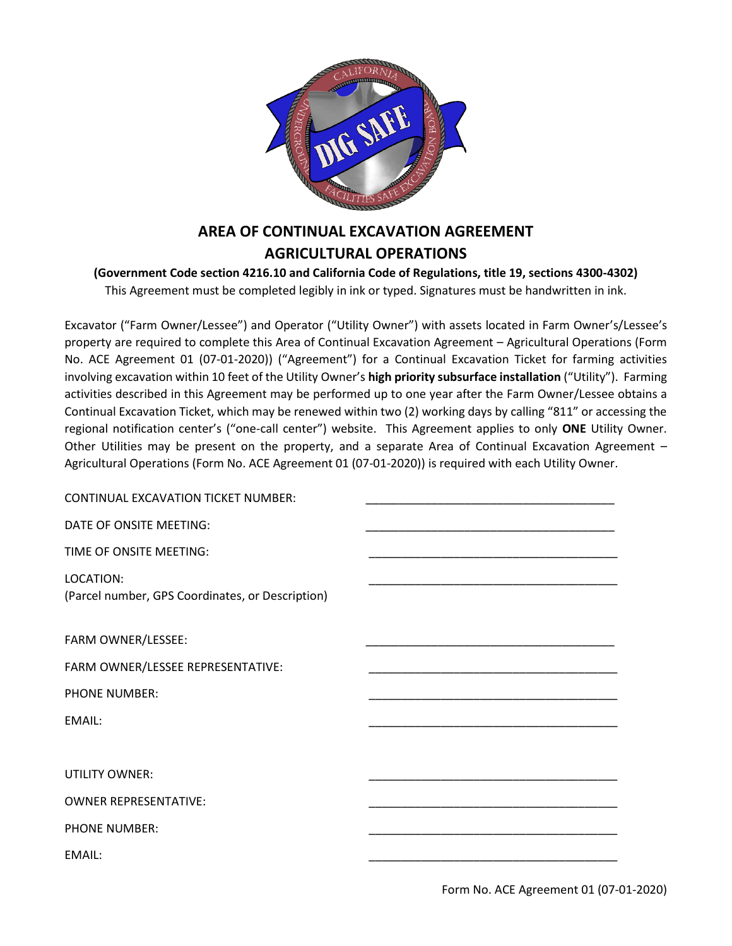

# **AREA OF CONTINUAL EXCAVATION AGREEMENT AGRICULTURAL OPERATIONS**

#### **(Government Code section 4216.10 and California Code of Regulations, title 19, sections 4300-4302)** This Agreement must be completed legibly in ink or typed. Signatures must be handwritten in ink.

Excavator ("Farm Owner/Lessee") and Operator ("Utility Owner") with assets located in Farm Owner's/Lessee's property are required to complete this Area of Continual Excavation Agreement – Agricultural Operations (Form No. ACE Agreement 01 (07-01-2020)) ("Agreement") for a Continual Excavation Ticket for farming activities involving excavation within 10 feet of the Utility Owner's **high priority subsurface installation** ("Utility"). Farming activities described in this Agreement may be performed up to one year after the Farm Owner/Lessee obtains a Continual Excavation Ticket, which may be renewed within two (2) working days by calling "811" or accessing the regional notification center's ("one-call center") website. This Agreement applies to only **ONE** Utility Owner. Other Utilities may be present on the property, and a separate Area of Continual Excavation Agreement – Agricultural Operations (Form No. ACE Agreement 01 (07-01-2020)) is required with each Utility Owner.

| CONTINUAL EXCAVATION TICKET NUMBER:                           |  |
|---------------------------------------------------------------|--|
| DATE OF ONSITE MEETING:                                       |  |
| TIME OF ONSITE MEETING:                                       |  |
| LOCATION:<br>(Parcel number, GPS Coordinates, or Description) |  |
| FARM OWNER/LESSEE:                                            |  |
| FARM OWNER/LESSEE REPRESENTATIVE:                             |  |
| <b>PHONE NUMBER:</b>                                          |  |
| EMAIL:                                                        |  |
|                                                               |  |
| <b>UTILITY OWNER:</b>                                         |  |
| <b>OWNER REPRESENTATIVE:</b>                                  |  |
| <b>PHONE NUMBER:</b>                                          |  |
| EMAIL:                                                        |  |
|                                                               |  |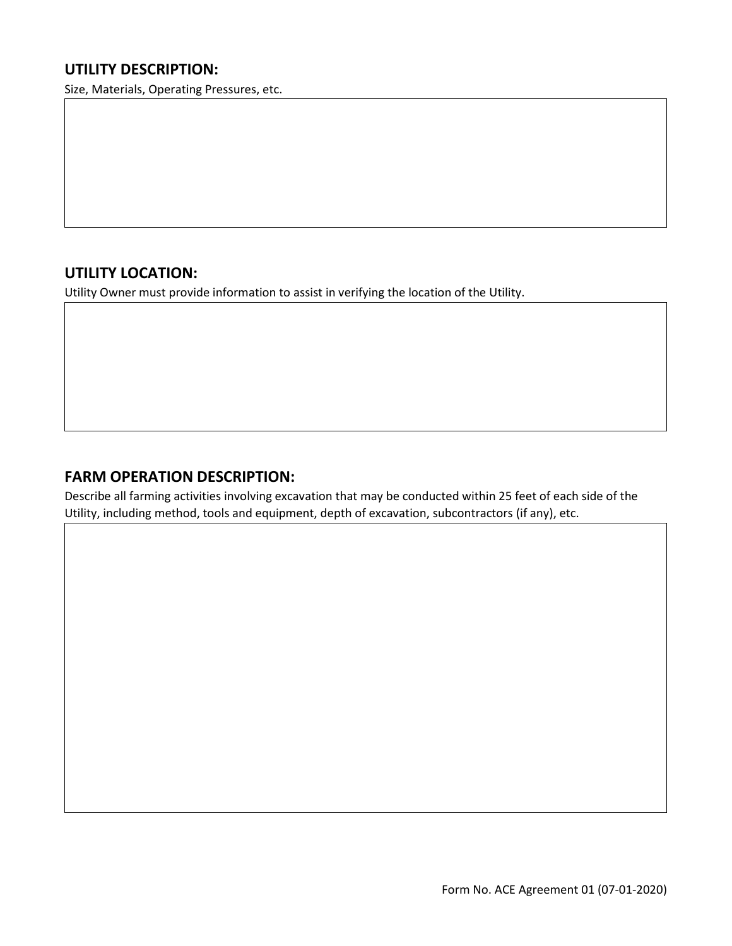## **UTILITY DESCRIPTION:**

Size, Materials, Operating Pressures, etc.

# **UTILITY LOCATION:**

Utility Owner must provide information to assist in verifying the location of the Utility.

#### **FARM OPERATION DESCRIPTION:**

Describe all farming activities involving excavation that may be conducted within 25 feet of each side of the Utility, including method, tools and equipment, depth of excavation, subcontractors (if any), etc.